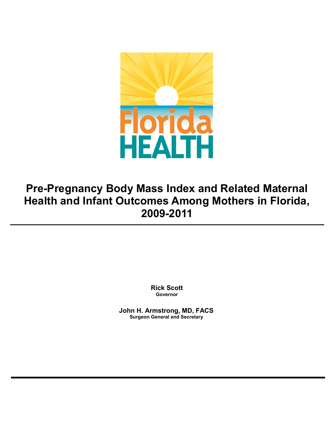

# **Pre-Pregnancy Body Mass Index and Related Maternal Health and Infant Outcomes Among Mothers in Florida, 2009-2011**

**Rick Scott Governor**

**John H. Armstrong, MD, FACS Surgeon General and Secretary**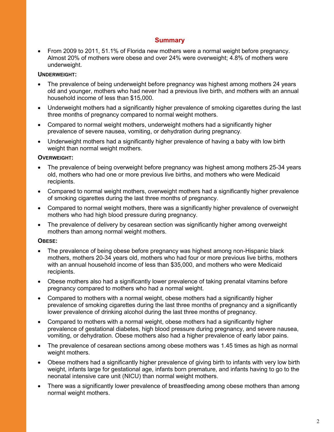# **Summary**

• From 2009 to 2011, 51.1% of Florida new mothers were a normal weight before pregnancy. Almost 20% of mothers were obese and over 24% were overweight; 4.8% of mothers were underweight.

#### **UNDERWEIGHT:**

- The prevalence of being underweight before pregnancy was highest among mothers 24 years old and younger, mothers who had never had a previous live birth, and mothers with an annual household income of less than \$15,000.
- Underweight mothers had a significantly higher prevalence of smoking cigarettes during the last three months of pregnancy compared to normal weight mothers.
- Compared to normal weight mothers, underweight mothers had a significantly higher prevalence of severe nausea, vomiting, or dehydration during pregnancy.
- Underweight mothers had a significantly higher prevalence of having a baby with low birth weight than normal weight mothers.

## **OVERWEIGHT:**

- The prevalence of being overweight before pregnancy was highest among mothers 25-34 years old, mothers who had one or more previous live births, and mothers who were Medicaid recipients.
- Compared to normal weight mothers, overweight mothers had a significantly higher prevalence of smoking cigarettes during the last three months of pregnancy.
- Compared to normal weight mothers, there was a significantly higher prevalence of overweight mothers who had high blood pressure during pregnancy.
- The prevalence of delivery by cesarean section was significantly higher among overweight mothers than among normal weight mothers.

#### **OBESE:**

- The prevalence of being obese before pregnancy was highest among non-Hispanic black mothers, mothers 20-34 years old, mothers who had four or more previous live births, mothers with an annual household income of less than \$35,000, and mothers who were Medicaid recipients.
- Obese mothers also had a significantly lower prevalence of taking prenatal vitamins before pregnancy compared to mothers who had a normal weight.
- Compared to mothers with a normal weight, obese mothers had a significantly higher prevalence of smoking cigarettes during the last three months of pregnancy and a significantly lower prevalence of drinking alcohol during the last three months of pregnancy.
- Compared to mothers with a normal weight, obese mothers had a significantly higher prevalence of gestational diabetes, high blood pressure during pregnancy, and severe nausea, vomiting, or dehydration. Obese mothers also had a higher prevalence of early labor pains.
- The prevalence of cesarean sections among obese mothers was 1.45 times as high as normal weight mothers.
- Obese mothers had a significantly higher prevalence of giving birth to infants with very low birth weight, infants large for gestational age, infants born premature, and infants having to go to the neonatal intensive care unit (NICU) than normal weight mothers.
- There was a significantly lower prevalence of breastfeeding among obese mothers than among normal weight mothers.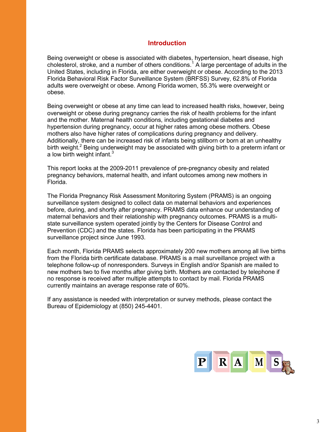#### **Introduction**

Being overweight or obese is associated with diabetes, hypertension, heart disease, high cholesterol, stroke, and a number of others conditions.<sup>1</sup> A large percentage of adults in the United States, including in Florida, are either overweight or obese. According to the 2013 Florida Behavioral Risk Factor Surveillance System (BRFSS) Survey, 62.8% of Florida adults were overweight or obese. Among Florida women, 55.3% were overweight or obese.

Being overweight or obese at any time can lead to increased health risks, however, being overweight or obese during pregnancy carries the risk of health problems for the infant and the mother. Maternal health conditions, including gestational diabetes and hypertension during pregnancy, occur at higher rates among obese mothers. Obese mothers also have higher rates of complications during pregnancy and delivery. Additionally, there can be increased risk of infants being stillborn or born at an unhealthy birth weight.<sup>2</sup> Being underweight may be associated with giving birth to a preterm infant or a low birth weight infant. $3$ 

This report looks at the 2009-2011 prevalence of pre-pregnancy obesity and related pregnancy behaviors, maternal health, and infant outcomes among new mothers in Florida.

The Florida Pregnancy Risk Assessment Monitoring System (PRAMS) is an ongoing surveillance system designed to collect data on maternal behaviors and experiences before, during, and shortly after pregnancy. PRAMS data enhance our understanding of maternal behaviors and their relationship with pregnancy outcomes. PRAMS is a multistate surveillance system operated jointly by the Centers for Disease Control and Prevention (CDC) and the states. Florida has been participating in the PRAMS surveillance project since June 1993.

Each month, Florida PRAMS selects approximately 200 new mothers among all live births from the Florida birth certificate database. PRAMS is a mail surveillance project with a telephone follow-up of nonresponders. Surveys in English and/or Spanish are mailed to new mothers two to five months after giving birth. Mothers are contacted by telephone if no response is received after multiple attempts to contact by mail. Florida PRAMS currently maintains an average response rate of 60%.

If any assistance is needed with interpretation or survey methods, please contact the Bureau of Epidemiology at (850) 245-4401.

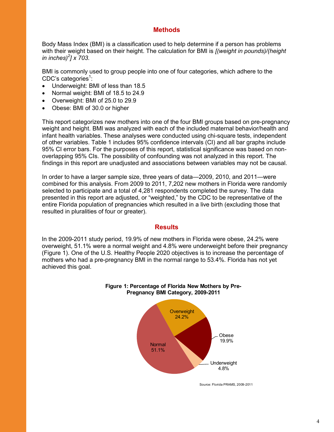# **Methods**

Body Mass Index (BMI) is a classification used to help determine if a person has problems with their weight based on their height. The calculation for BMI is *[(weight in pounds)/(height in inches)<sup>2</sup> ] x 703*.

BMI is commonly used to group people into one of four categories, which adhere to the CDC's categories<sup>1</sup>:

- Underweight: BMI of less than 18.5
- Normal weight: BMI of 18.5 to 24.9
- Overweight: BMI of 25.0 to 29.9
- Obese: BMI of 30.0 or higher

This report categorizes new mothers into one of the four BMI groups based on pre-pregnancy weight and height. BMI was analyzed with each of the included maternal behavior/health and infant health variables. These analyses were conducted using chi-square tests, independent of other variables. Table 1 includes 95% confidence intervals (CI) and all bar graphs include 95% CI error bars. For the purposes of this report, statistical significance was based on nonoverlapping 95% CIs. The possibility of confounding was not analyzed in this report. The findings in this report are unadjusted and associations between variables may not be causal.

In order to have a larger sample size, three years of data—2009, 2010, and 2011—were combined for this analysis. From 2009 to 2011, 7,202 new mothers in Florida were randomly selected to participate and a total of 4,281 respondents completed the survey. The data presented in this report are adjusted, or "weighted," by the CDC to be representative of the entire Florida population of pregnancies which resulted in a live birth (excluding those that resulted in pluralities of four or greater).

#### **Results**

In the 2009-2011 study period, 19.9% of new mothers in Florida were obese, 24.2% were overweight, 51.1% were a normal weight and 4.8% were underweight before their pregnancy (Figure 1). One of the U.S. Healthy People 2020 objectives is to increase the percentage of mothers who had a pre-pregnancy BMI in the normal range to 53.4%. Florida has not yet achieved this goal.



#### **Figure 1: Percentage of Florida New Mothers by Pre-Pregnancy BMI Category, 2009-2011**

Source: Florida PRAMS, 2009-2011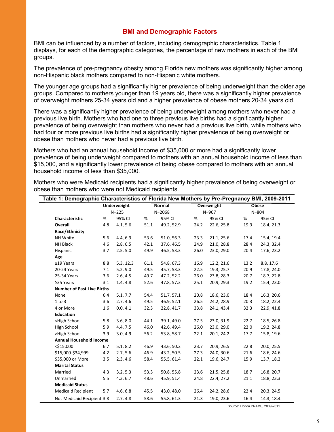## **BMI and Demographic Factors**

BMI can be influenced by a number of factors, including demographic characteristics. Table 1 displays, for each of the demographic categories, the percentage of new mothers in each of the BMI groups.

The prevalence of pre-pregnancy obesity among Florida new mothers was significantly higher among non-Hispanic black mothers compared to non-Hispanic white mothers.

The younger age groups had a significantly higher prevalence of being underweight than the older age groups. Compared to mothers younger than 19 years old, there was a significantly higher prevalence of overweight mothers 25-34 years old and a higher prevalence of obese mothers 20-34 years old.

There was a significantly higher prevalence of being underweight among mothers who never had a previous live birth. Mothers who had one to three previous live births had a significantly higher prevalence of being overweight than mothers who never had a previous live birth, while mothers who had four or more previous live births had a significantly higher prevalence of being overweight or obese than mothers who never had a previous live birth.

Mothers who had an annual household income of \$35,000 or more had a significantly lower prevalence of being underweight compared to mothers with an annual household income of less than \$15,000, and a significantly lower prevalence of being obese compared to mothers with an annual household income of less than \$35,000.

| Table 1: Demographic Characteristics of Florida New Mothers by Pre-Pregnancy BMI, 2009-2011                                                                 |           |                    |                             |            |                         |            |                           |            |
|-------------------------------------------------------------------------------------------------------------------------------------------------------------|-----------|--------------------|-----------------------------|------------|-------------------------|------------|---------------------------|------------|
|                                                                                                                                                             |           | <b>Underweight</b> | <b>Normal</b><br>$N = 2068$ |            | Overweight<br>$N = 967$ |            | <b>Obese</b><br>$N = 804$ |            |
|                                                                                                                                                             | $N = 225$ |                    |                             |            |                         |            |                           |            |
| Characteristic                                                                                                                                              | %         | 95% CI             | %                           | 95% CI     | %                       | 95% CI     | %                         | 95% CI     |
| Overall                                                                                                                                                     | 4.8       | 4.1, 5.6           | 51.1                        | 49.2, 52.9 | 24.2                    | 22.6, 25.8 | 19.9                      | 18.4, 21.3 |
| Race/Ethnicity                                                                                                                                              |           |                    |                             |            |                         |            |                           |            |
| NH White                                                                                                                                                    | 5.6       | 4.4, 6.9           | 53.6                        | 51.0, 56.3 | 23.3                    | 21.1, 25.6 | 17.4                      | 15.4, 19.4 |
| <b>NH Black</b>                                                                                                                                             | 4.6       | 2.8, 6.5           | 42.1                        | 37.6, 46.5 | 24.9                    | 21.0, 28.8 | 28.4                      | 24.3, 32.4 |
| Hispanic                                                                                                                                                    | 3.7       | 2.5, 5.0           | 49.9                        | 46.5, 53.3 | 26.0                    | 23.0, 29.0 | 20.4                      | 17.6, 23.2 |
| Age                                                                                                                                                         |           |                    |                             |            |                         |            |                           |            |
| $≤19$ Years                                                                                                                                                 | 8.8       | 5.3, 12.3          | 61.1                        | 54.8, 67.3 | 16.9                    | 12.2, 21.6 | 13.2                      | 8.8, 17.6  |
| 20-24 Years                                                                                                                                                 | 7.1       | 5.2, 9.0           | 49.5                        | 45.7, 53.3 | 22.5                    | 19.3, 25.7 | 20.9                      | 17.8, 24.0 |
| 25-34 Years                                                                                                                                                 | 3.6       | 2.6, 4.5           | 49.7                        | 47.2, 52.2 | 26.0                    | 23.8, 28.3 | 20.7                      | 18.7, 22.8 |
| ≥35 Years                                                                                                                                                   | 3.1       | 1.4, 4.8           | 52.6                        | 47.8, 57.3 | 25.1                    | 20.9, 29.3 | 19.2                      | 15.4, 23.0 |
| <b>Number of Past Live Births</b>                                                                                                                           |           |                    |                             |            |                         |            |                           |            |
| None                                                                                                                                                        | 6.4       | 5.1, 7.7           | 54.4                        | 51.7, 57.1 | 20.8                    | 18.6, 23.0 | 18.4                      | 16.3, 20.6 |
| $1$ to $3$                                                                                                                                                  | 3.6       | 2.7, 4.6           | 49.5                        | 46.9, 52.1 | 26.5                    | 24.2, 28.9 | 20.3                      | 18.2, 22.4 |
| 4 or More                                                                                                                                                   | 1.6       | 0.0, 4.1           | 32.3                        | 22.8, 41.7 | 33.8                    | 24.1, 43.4 | 32.3                      | 22.9, 41.8 |
| <b>Education</b>                                                                                                                                            |           |                    |                             |            |                         |            |                           |            |
| <high school<="" td=""><td>5.8</td><td>3.6, 8.0</td><td>44.1</td><td>39.1, 49.0</td><td>27.5</td><td>23.0, 31.9</td><td>22.7</td><td>18.5, 26.8</td></high> | 5.8       | 3.6, 8.0           | 44.1                        | 39.1, 49.0 | 27.5                    | 23.0, 31.9 | 22.7                      | 18.5, 26.8 |
| High School                                                                                                                                                 | 5.9       | 4.4, 7.5           | 46.0                        | 42.6, 49.4 | 26.0                    | 23.0, 29.0 | 22.0                      | 19.2, 24.8 |
| >High School                                                                                                                                                | 3.9       | 3.0, 4.9           | 56.2                        | 53.8, 58.7 | 22.1                    | 20.1, 24.2 | 17.7                      | 15.8, 19.6 |
| <b>Annual Household Income</b>                                                                                                                              |           |                    |                             |            |                         |            |                           |            |
| $<$ \$15,000                                                                                                                                                | 6.7       | 5.1, 8.2           | 46.9                        | 43.6, 50.2 | 23.7                    | 20.9, 26.5 | 22.8                      | 20.0, 25.5 |
| \$15,000-\$34,999                                                                                                                                           | 4.2       | 2.7, 5.6           | 46.9                        | 43.2, 50.5 | 27.3                    | 24.0, 30.6 | 21.6                      | 18.6, 24.6 |
| \$35,000 or More                                                                                                                                            | 3.5       | 2.3, 4.6           | 58.4                        | 55.5, 61.4 | 22.1                    | 19.6, 24.7 | 15.9                      | 13.7, 18.2 |
| <b>Marital Status</b>                                                                                                                                       |           |                    |                             |            |                         |            |                           |            |
| Married                                                                                                                                                     | 4.3       | 3.2, 5.3           | 53.3                        | 50.8, 55.8 | 23.6                    | 21.5, 25.8 | 18.7                      | 16.8, 20.7 |
| Unmarried                                                                                                                                                   | 5.5       | 4.3, 6.7           | 48.6                        | 45.9, 51.4 | 24.8                    | 22.4, 27.2 | 21.1                      | 18.8, 23.3 |
| <b>Medicaid Status</b>                                                                                                                                      |           |                    |                             |            |                         |            |                           |            |
| <b>Medicaid Recipient</b>                                                                                                                                   | 5.7       | 4.6, 6.8           | 45.5                        | 43.0, 48.0 | 26.4                    | 24.2, 28.6 | 22.4                      | 20.3, 24.5 |
| Not Medicaid Recipient 3.8                                                                                                                                  |           | 2.7, 4.8           | 58.6                        | 55.8, 61.3 | 21.3                    | 19.0, 23.6 | 16.4                      | 14.3, 18.4 |

Mothers who were Medicaid recipients had a significantly higher prevalence of being overweight or obese than mothers who were not Medicaid recipients.

Source: Florida PRAMS, 2009-2011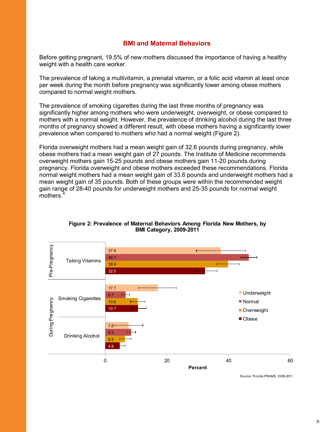## **BMI and Maternal Behaviors**

Before getting pregnant, 19.5% of new mothers discussed the importance of having a healthy weight with a health care worker.

The prevalence of taking a multivitamin, a prenatal vitamin, or a folic acid vitamin at least once per week during the month before pregnancy was significantly lower among obese mothers compared to normal weight mothers.

The prevalence of smoking cigarettes during the last three months of pregnancy was significantly higher among mothers who were underweight, overweight, or obese compared to mothers with a normal weight. However, the prevalence of drinking alcohol during the last three months of pregnancy showed a different result, with obese mothers having a significantly lower prevalence when compared to mothers who had a normal weight (Figure 2).

Florida overweight mothers had a mean weight gain of 32.6 pounds during pregnancy, while obese mothers had a mean weight gain of 27 pounds. The Institute of Medicine recommends overweight mothers gain 15-25 pounds and obese mothers gain 11-20 pounds during pregnancy. Florida overweight and obese mothers exceeded these recommendations. Florida normal weight mothers had a mean weight gain of 33.6 pounds and underweight mothers had a mean weight gain of 35 pounds. Both of these groups were within the recommended weight gain range of 28-40 pounds for underweight mothers and 25-35 pounds for normal weight mothers.<sup>4</sup>



#### **Figure 2: Prevalence of Maternal Behaviors Among Florida New Mothers, by BMI Category, 2009-2011**

Source: Florida PRAMS, 2009-2011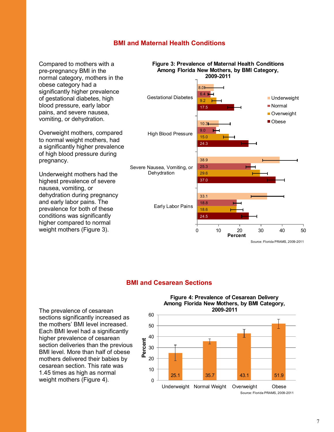## **BMI and Maternal Health Conditions**

Compared to mothers with a pre-pregnancy BMI in the normal category, mothers in the obese category had a significantly higher prevalence of gestational diabetes, high blood pressure, early labor pains, and severe nausea, vomiting, or dehydration.

Overweight mothers, compared to normal weight mothers, had a significantly higher prevalence of high blood pressure during pregnancy.

Underweight mothers had the highest prevalence of severe nausea, vomiting, or dehydration during pregnancy and early labor pains. The prevalence for both of these conditions was significantly higher compared to normal weight mothers (Figure 3).



#### **BMI and Cesarean Sections**

The prevalence of cesarean sections significantly increased as the mothers' BMI level increased. Each BMI level had a significantly higher prevalence of cesarean section deliveries than the previous BMI level. More than half of obese mothers delivered their babies by cesarean section. This rate was 1.45 times as high as normal weight mothers (Figure 4).

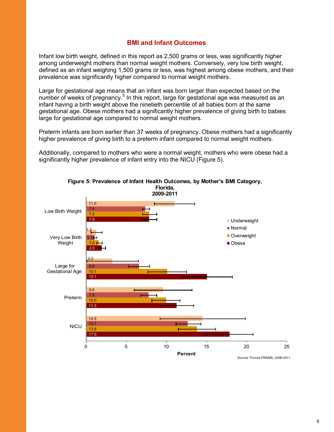## **BMI and Infant Outcomes**

Infant low birth weight, defined in this report as 2,500 grams or less, was significantly higher among underweight mothers than normal weight mothers. Conversely, very low birth weight, defined as an infant weighing 1,500 grams or less, was highest among obese mothers, and their prevalence was significantly higher compared to normal weight mothers.

Large for gestational age means that an infant was born larger than expected based on the number of weeks of pregnancy.<sup>5</sup> In this report, large for gestational age was measured as an infant having a birth weight above the ninetieth percentile of all babies born at the same gestational age. Obese mothers had a significantly higher prevalence of giving birth to babies large for gestational age compared to normal weight mothers.

Preterm infants are born earlier than 37 weeks of pregnancy. Obese mothers had a significantly higher prevalence of giving birth to a preterm infant compared to normal weight mothers.

Additionally, compared to mothers who were a normal weight, mothers who were obese had a significantly higher prevalence of infant entry into the NICU (Figure 5).

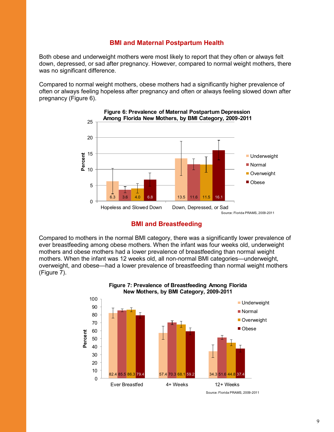# **BMI and Maternal Postpartum Health**

Both obese and underweight mothers were most likely to report that they often or always felt down, depressed, or sad after pregnancy. However, compared to normal weight mothers, there was no significant difference.

Compared to normal weight mothers, obese mothers had a significantly higher prevalence of often or always feeling hopeless after pregnancy and often or always feeling slowed down after pregnancy (Figure 6).





Compared to mothers in the normal BMI category, there was a significantly lower prevalence of ever breastfeeding among obese mothers. When the infant was four weeks old, underweight mothers and obese mothers had a lower prevalence of breastfeeding than normal weight mothers. When the infant was 12 weeks old, all non-normal BMI categories—underweight, overweight, and obese—had a lower prevalence of breastfeeding than normal weight mothers (Figure 7).



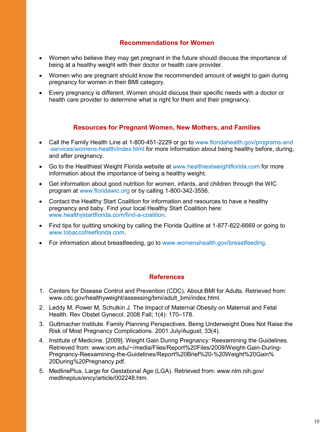# **Recommendations for Women**

- Women who believe they may get pregnant in the future should discuss the importance of being at a healthy weight with their doctor or health care provider.
- Women who are pregnant should know the recommended amount of weight to gain during pregnancy for women in their BMI category.
- Every pregnancy is different. Women should discuss their specific needs with a doctor or health care provider to determine what is right for them and their pregnancy.

# **Resources for Pregnant Women, New Mothers, and Families**

- Call the Family Health Line at 1-800-451-2229 or go to www.floridahealth.gov/programs-and -services/womens-health/index.html for more information about being healthy before, during, and after pregnancy.
- Go to the Healthiest Weight Florida website at www.healthiestweightflorida.com for more information about the importance of being a healthy weight.
- Get information about good nutrition for women, infants, and children through the WIC program at www.floridawic.org or by calling 1-800-342-3556.
- Contact the Healthy Start Coalition for information and resources to have a healthy pregnancy and baby. Find your local Healthy Start Coalition here: www.healthystartflorida.com/find-a-coalition.
- Find tips for quitting smoking by calling the Florida Quitline at 1-877-822-6669 or going to www.tobaccofreeflorida.com
- For information about breastfeeding, go to www.womenshealth.gov/breastfeeding.

# **References**

- 1. Centers for Disease Control and Prevention (CDC). About BMI for Adults. Retrieved from: www.cdc.gov/healthyweight/assessing/bmi/adult\_bmi/index.html.
- 2. Leddy M, Power M, Schulkin J. The Impact of Maternal Obesity on Maternal and Fetal Health. Rev Obstet Gynecol. 2008 Fall; 1(4): 170–178.
- 3. Guttmacher Institute. Family Planning Perspectives. Being Underweight Does Not Raise the Risk of Most Pregnancy Complications. 2001 July/August; 33(4).
- 4. Institute of Medicine. [2009]. Weight Gain During Pregnancy: Reexamining the Guidelines. Retrieved from: www.iom.edu/~/media/Files/Report%20Files/2009/Weight-Gain-During-Pregnancy-Reexamining-the-Guidelines/Report%20Brief%20-%20Weight%20Gain% 20During%20Pregnancy.pdf.
- 5. MedlinePlus. Large for Gestational Age (LGA). Retrieved from: www.nlm.nih.gov/ medlineplus/ency/article/002248.htm.